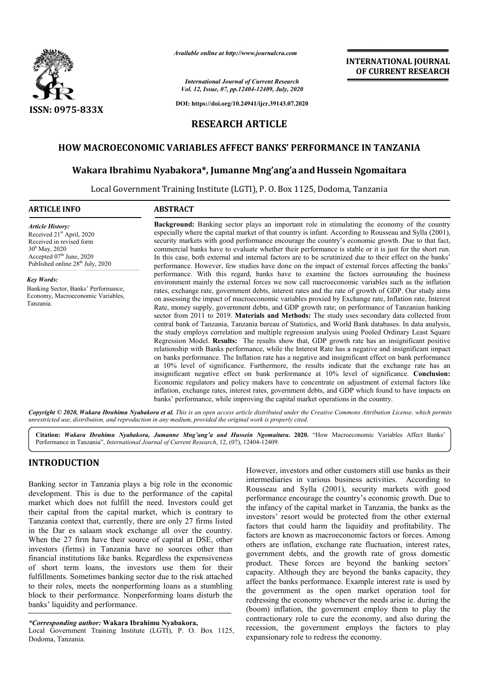

*Available online at http://www.journalcra.com*

*International Journal of Current Research Vol. 12, Issue, 07, pp.12404-12409, July, 2020*

**DOI: https://doi.org/10.24941/ijcr.39143.07.2020**

# **RESEARCH ARTICLE**

### **HOW MACROECONOMIC VARIABLES AFFECT BANKS' PERFORMANCE IN TANZANIA**

### **Wakara Ibrahimu Nyabakora\*, Jumanne Mng'ang'a and Hussein Ngomaitara**

Local Government Training Institute (LGTI), P. O. Box 1125, Dodoma, Tanzania

| <b>ARTICLE INFO</b>                                                                                                                                                                                     | <b>ABSTRACT</b>                                                                                                                                                                                                                                                                                                                                                                                                                                                                                                                                                                                                                                                                                                                                                                                                                                                                                                                                                                                                                                                                                                                                                                                                                                                                                                                                                                                                                                                                                                                                                                                                                                   |  |  |  |  |  |  |
|---------------------------------------------------------------------------------------------------------------------------------------------------------------------------------------------------------|---------------------------------------------------------------------------------------------------------------------------------------------------------------------------------------------------------------------------------------------------------------------------------------------------------------------------------------------------------------------------------------------------------------------------------------------------------------------------------------------------------------------------------------------------------------------------------------------------------------------------------------------------------------------------------------------------------------------------------------------------------------------------------------------------------------------------------------------------------------------------------------------------------------------------------------------------------------------------------------------------------------------------------------------------------------------------------------------------------------------------------------------------------------------------------------------------------------------------------------------------------------------------------------------------------------------------------------------------------------------------------------------------------------------------------------------------------------------------------------------------------------------------------------------------------------------------------------------------------------------------------------------------|--|--|--|--|--|--|
| <b>Article History:</b><br>Received 21 <sup>st</sup> April, 2020<br>Received in revised form<br>$30h$ May, 2020<br>Accepted 07 <sup>th</sup> June, 2020<br>Published online 28 <sup>th</sup> July, 2020 | <b>Background:</b> Banking sector plays an important role in stimulating the economy of the country<br>especially where the capital market of that country is infant. According to Rousseau and Sylla (2001),<br>security markets with good performance encourage the country's economic growth. Due to that fact,<br>commercial banks have to evaluate whether their performance is stable or it is just for the short run.<br>In this case, both external and internal factors are to be scrutinized due to their effect on the banks'<br>performance. However, few studies have done on the impact of external forces affecting the banks'                                                                                                                                                                                                                                                                                                                                                                                                                                                                                                                                                                                                                                                                                                                                                                                                                                                                                                                                                                                                     |  |  |  |  |  |  |
| Key Words:<br>Banking Sector, Banks' Performance,<br>Economy, Macroeconomic Variables,<br>Tanzania.                                                                                                     | performance. With this regard, banks have to examine the factors surrounding the business<br>environment mainly the external forces we now call macroeconomic variables such as the inflation<br>rates, exchange rate, government debts, interest rates and the rate of growth of GDP. Our study aims<br>on assessing the impact of macroeconomic variables proxied by Exchange rate, Inflation rate, Interest<br>Rate, money supply, government debts, and GDP growth rate; on performance of Tanzanian banking<br>sector from 2011 to 2019. Materials and Methods: The study uses secondary data collected from<br>central bank of Tanzania, Tanzania bureau of Statistics, and World Bank databases. In data analysis,<br>the study employs correlation and multiple regression analysis using Pooled Ordinary Least Square<br>Regression Model. Results: The results show that, GDP growth rate has an insignificant positive<br>relationship with Banks performance, while the Interest Rate has a negative and insignificant impact<br>on banks performance. The Inflation rate has a negative and insignificant effect on bank performance<br>at 10% level of significance. Furthermore, the results indicate that the exchange rate has an<br>insignificant negative effect on bank performance at 10% level of significance. Conclusion:<br>Economic regulators and policy makers have to concentrate on adjustment of external factors like<br>inflation, exchange rates, interest rates, government debts, and GDP which found to have impacts on<br>banks' performance, while improving the capital market operations in the country. |  |  |  |  |  |  |

Copyright © 2020, Wakara Ibrahimu Nyabakora et al. This is an open access article distributed under the Creative Commons Attribution License, which permits *unrestricted use, distribution, and reproduction in any medium, provided the original work is properly cited.*

**Citation:** *Wakara Ibrahimu Nyabakora, Jumanne Mng'ang'a and Hussein Ngomaitara***. 2020.** "How Macroeconomic Variables Affect Banks' Performance in Tanzania", *International Journal of Current Research*, 12, (07), 12404-12409.

## **INTRODUCTION**

Banking sector in Tanzania plays a big role in the economic development. This is due to the performance of the capital market which does not fulfill the need. Investors could get their capital from the capital market, which is contrary to Tanzania context that, currently, there are only 27 firms listed in the Dar es salaam stock exchange all over the country. When the 27 firm have their source of capital at DSE, other investors (firms) in Tanzania have no sources other than financial institutions like banks. Regardless the expensiveness of short term loans, the investors use them for their fulfillments. Sometimes banking sector due to the risk attached to their roles, meets the nonperforming loans as a stumbling block to their performance. Nonperforming loans disturb the banks' liquidity and performance.

Local Government Training Institute (LGTI), P. O. Box 1125, Dodoma, Tanzania.

However, investors and other customers still use banks as their intermediaries in various business activities. According to Rousseau and Sylla (2001), security markets with good performance encourage the country's economic growth. Due to the infancy of the capital market in Tanzania, the banks as the investors' resort would be protected from the other external factors that could harm the liquidity and profitability. The factors are known as macroeconomic factors or forces. Among others are inflation, exchange rate fluctuation, interest rates, government debts, and the growth rate of gross domestic product. These forces are beyond the banking sectors' capacity. Although they are beyond the banks capacity, they affect the banks performance. Example interest rate is used by the government as the open market operation tool for redressing the economy whenever the needs arise ie. during the (boom) inflation, the government employ them to play the contractionary role to cure the economy, and also during the recession, the government employs the factors to play expansionary role to redress the economy.

**INTERNATIONAL JOURNAL OF CURRENT RESEARCH**

*<sup>\*</sup>Corresponding author:* **Wakara Ibrahimu Nyabakora,**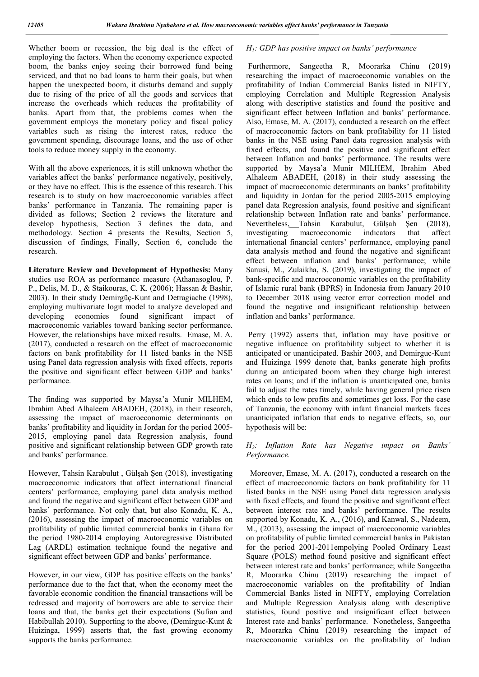Whether boom or recession, the big deal is the effect of employing the factors. When the economy experience expected boom, the banks enjoy seeing their borrowed fund being serviced, and that no bad loans to harm their goals, but when happen the unexpected boom, it disturbs demand and supply due to rising of the price of all the goods and services that increase the overheads which reduces the profitability of banks. Apart from that, the problems comes when the government employs the monetary policy and fiscal policy variables such as rising the interest rates, reduce the government spending, discourage loans, and the use of other tools to reduce money supply in the economy.

With all the above experiences, it is still unknown whether the variables affect the banks' performance negatively, positively, or they have no effect. This is the essence of this research. This research is to study on how macroeconomic variables affect banks' performance in Tanzania. The remaining paper is divided as follows; Section 2 reviews the literature and develop hypothesis, Section 3 defines the data, and methodology. Section 4 presents the Results, Section 5, discussion of findings, Finally, Section 6, conclude the research.

**Literature Review and Development of Hypothesis:** Many studies use ROA as performance measure (Athanasoglou, P. P., Delis, M. D., & Staikouras, C. K. (2006); Hassan & Bashir, 2003). In their study Demirgüç-Kunt and Detragiache (1998), employing multivariate logit model to analyze developed and developing economies found significant impact of macroeconomic variables toward banking sector performance. However, the relationships have mixed results. Emase, M. A. (2017), conducted a research on the effect of macroeconomic factors on bank profitability for 11 listed banks in the NSE using Panel data regression analysis with fixed effects, reports the positive and significant effect between GDP and banks' performance.

The finding was supported by Maysa'a Munir MILHEM, Ibrahim Abed Alhaleem ABADEH, (2018), in their research, assessing the impact of macroeconomic determinants on banks' profitability and liquidity in Jordan for the period 2005- 2015, employing panel data Regression analysis, found positive and significant relationship between GDP growth rate and banks' performance.

However, Tahsin Karabulut , Gülşah Şen (2018), investigating macroeconomic indicators that affect international financial centers' performance, employing panel data analysis method and found the negative and significant effect between GDP and banks' performance. Not only that, but also Konadu, K. A., (2016), assessing the impact of macroeconomic variables on profitability of public limited commercial banks in Ghana for the period 1980-2014 employing Autoregressive Distributed Lag (ARDL) estimation technique found the negative and significant effect between GDP and banks' performance.

However, in our view, GDP has positive effects on the banks' performance due to the fact that, when the economy meet the favorable economic condition the financial transactions will be redressed and majority of borrowers are able to service their loans and that, the banks get their expectations (Sufian and Habibullah 2010). Supporting to the above, (Demirguc-Kunt & Huizinga, 1999) asserts that, the fast growing economy supports the banks performance.

### *H1: GDP has positive impact on banks' performance*

Furthermore, Sangeetha R, Moorarka Chinu (2019) researching the impact of macroeconomic variables on the profitability of Indian Commercial Banks listed in NIFTY, employing Correlation and Multiple Regression Analysis along with descriptive statistics and found the positive and significant effect between Inflation and banks' performance. Also, Emase, M. A. (2017), conducted a research on the effect of macroeconomic factors on bank profitability for 11 listed banks in the NSE using Panel data regression analysis with fixed effects, and found the positive and significant effect between Inflation and banks' performance. The results were supported by Maysa'a Munir MILHEM, Ibrahim Abed Alhaleem ABADEH, (2018) in their study assessing the impact of macroeconomic determinants on banks' profitability and liquidity in Jordan for the period 2005-2015 employing panel data Regression analysis, found positive and significant relationship between Inflation rate and banks' performance. Nevertheless, Tahsin Karabulut, Gülşah Şen (2018), investigating macroeconomic indicators that affect international financial centers' performance, employing panel data analysis method and found the negative and significant effect between inflation and banks' performance; while Sanusi, M., Zulaikha, S. (2019), investigating the impact of bank-specific and macroeconomic variables on the profitability of Islamic rural bank (BPRS) in Indonesia from January 2010 to December 2018 using vector error correction model and found the negative and insignificant relationship between inflation and banks' performance.

Perry (1992) asserts that, inflation may have positive or negative influence on profitability subject to whether it is anticipated or unanticipated. Bashir 2003, and Demirguc-Kunt and Huizinga 1999 denote that, banks generate high profits during an anticipated boom when they charge high interest rates on loans; and if the inflation is unanticipated one, banks fail to adjust the rates timely, while having general price risen which ends to low profits and sometimes get loss. For the case of Tanzania, the economy with infant financial markets faces unanticipated inflation that ends to negative effects, so, our hypothesis will be:

### *H2: Inflation Rate has Negative impact on Banks' Performance.*

 Moreover, Emase, M. A. (2017), conducted a research on the effect of macroeconomic factors on bank profitability for 11 listed banks in the NSE using Panel data regression analysis with fixed effects, and found the positive and significant effect between interest rate and banks' performance. The results supported by Konadu, K. A., (2016), and Kanwal, S., Nadeem, M., (2013), assessing the impact of macroeconomic variables on profitability of public limited commercial banks in Pakistan for the period 2001-2011empolying Pooled Ordinary Least Square (POLS) method found positive and significant effect between interest rate and banks' performance; while Sangeetha R, Moorarka Chinu (2019) researching the impact of macroeconomic variables on the profitability of Indian Commercial Banks listed in NIFTY, employing Correlation and Multiple Regression Analysis along with descriptive statistics, found positive and insignificant effect between Interest rate and banks' performance. Nonetheless, Sangeetha R, Moorarka Chinu (2019) researching the impact of macroeconomic variables on the profitability of Indian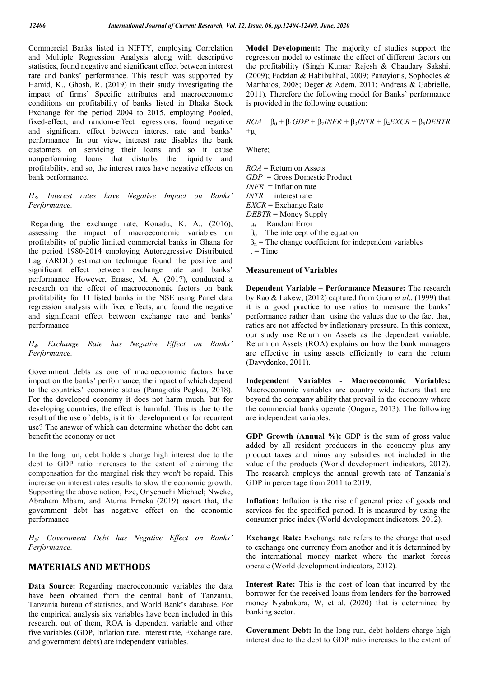Commercial Banks listed in NIFTY, employing Correlation and Multiple Regression Analysis along with descriptive statistics, found negative and significant effect between interest rate and banks' performance. This result was supported by Hamid, K., Ghosh, R. (2019) in their study investigating the impact of firms' Specific attributes and macroeconomic conditions on profitability of banks listed in Dhaka Stock Exchange for the period 2004 to 2015, employing Pooled, fixed-effect, and random-effect regressions, found negative and significant effect between interest rate and banks' performance. In our view, interest rate disables the bank customers on servicing their loans and so it cause nonperforming loans that disturbs the liquidity and profitability, and so, the interest rates have negative effects on bank performance.

#### *H3: Interest rates have Negative Impact on Banks' Performance.*

Regarding the exchange rate, Konadu, K. A., (2016), assessing the impact of macroeconomic variables on profitability of public limited commercial banks in Ghana for the period 1980-2014 employing Autoregressive Distributed Lag (ARDL) estimation technique found the positive and significant effect between exchange rate and banks' performance. However, Emase, M. A. (2017), conducted a research on the effect of macroeconomic factors on bank profitability for 11 listed banks in the NSE using Panel data regression analysis with fixed effects, and found the negative and significant effect between exchange rate and banks' performance.

#### *H4: Exchange Rate has Negative Effect on Banks' Performance.*

Government debts as one of macroeconomic factors have impact on the banks' performance, the impact of which depend to the countries' economic status (Panagiotis Pegkas, 2018). For the developed economy it does not harm much, but for developing countries, the effect is harmful. This is due to the result of the use of debts, is it for development or for recurrent use? The answer of which can determine whether the debt can benefit the economy or not.

In the long run, debt holders charge high interest due to the debt to GDP ratio increases to the extent of claiming the compensation for the marginal risk they won't be repaid. This increase on interest rates results to slow the economic growth. Supporting the above notion, Eze, Onyebuchi Michael; Nweke, Abraham Mbam, and Atuma Emeka (2019) assert that, the government debt has negative effect on the economic performance.

*H5: Government Debt has Negative Effect on Banks' Performance.*

### **MATERIALS AND METHODS**

**Data Source:** Regarding macroeconomic variables the data have been obtained from the central bank of Tanzania, Tanzania bureau of statistics, and World Bank's database. For the empirical analysis six variables have been included in this research, out of them, ROA is dependent variable and other five variables (GDP, Inflation rate, Interest rate, Exchange rate, and government debts) are independent variables.

**Model Development:** The majority of studies support the regression model to estimate the effect of different factors on the profitability (Singh Kumar Rajesh & Chaudary Sakshi. (2009); Fadzlan & Habibuhhal, 2009; Panayiotis, Sophocles & Matthaios, 2008; Deger & Adem, 2011; Andreas & Gabrielle, 2011). Therefore the following model for Banks' performance is provided in the following equation:

 $ROA = \beta_0 + \beta_1 GDP + \beta_2 INFR + \beta_3 INTR + \beta_4 EXCR + \beta_5 DEBTR$  $+t$ 

Where;

*ROA* = Return on Assets *GDP* = Gross Domestic Product *INFR* = Inflation rate *INTR* = interest rate *EXCR* = Exchange Rate *DEBTR* = Money Supply  $\mu_t$  = Random Error  $\beta_0$  = The intercept of the equation  $\beta_n$  = The change coefficient for independent variables  $t = Time$ 

#### **Measurement of Variables**

**Dependent Variable – Performance Measure:** The research by Rao & Lakew, (2012) captured from Guru *et al*., (1999) that it is a good practice to use ratios to measure the banks' performance rather than using the values due to the fact that, ratios are not affected by inflationary pressure. In this context, our study use Return on Assets as the dependent variable. Return on Assets (ROA) explains on how the bank managers are effective in using assets efficiently to earn the return (Davydenko, 2011).

**Independent Variables - Macroeconomic Variables:**  Macroeconomic variables are country wide factors that are beyond the company ability that prevail in the economy where the commercial banks operate (Ongore, 2013). The following are independent variables.

**GDP Growth (Annual %):** GDP is the sum of gross value added by all resident producers in the economy plus any product taxes and minus any subsidies not included in the value of the products (World development indicators, 2012). The research employs the annual growth rate of Tanzania's GDP in percentage from 2011 to 2019.

**Inflation:** Inflation is the rise of general price of goods and services for the specified period. It is measured by using the consumer price index (World development indicators, 2012).

**Exchange Rate:** Exchange rate refers to the charge that used to exchange one currency from another and it is determined by the international money market where the market forces operate (World development indicators, 2012).

**Interest Rate:** This is the cost of loan that incurred by the borrower for the received loans from lenders for the borrowed money Nyabakora, W, et al. (2020) that is determined by banking sector.

**Government Debt:** In the long run, debt holders charge high interest due to the debt to GDP ratio increases to the extent of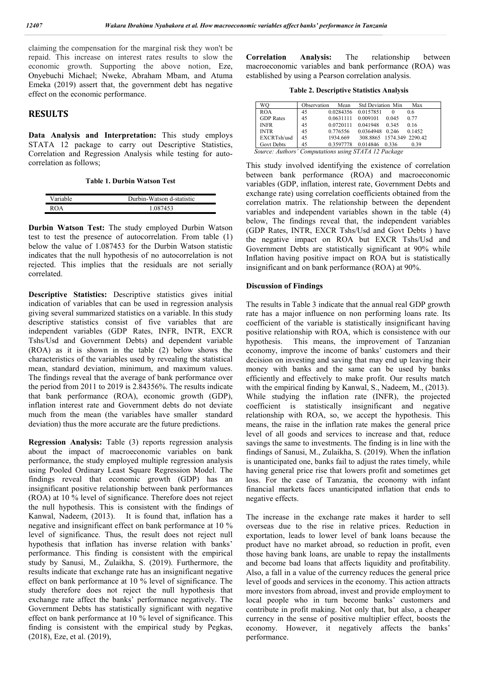claiming the compensation for the marginal risk they won't be repaid. This increase on interest rates results to slow the economic growth. Supporting the above notion, Eze, Onyebuchi Michael; Nweke, Abraham Mbam, and Atuma Emeka (2019) assert that, the government debt has negative effect on the economic performance.

### **RESULTS**

**Data Analysis and Interpretation:** This study employs STATA 12 package to carry out Descriptive Statistics, Correlation and Regression Analysis while testing for autocorrelation as follows;

**Table 1. Durbin Watson Test**

| Variable | Durbin-Watson d-statistic |
|----------|---------------------------|
|          | 1.087453                  |

**Durbin Watson Test:** The study employed Durbin Watson test to test the presence of autocorrelation. From table (1) below the value of 1.087453 for the Durbin Watson statistic indicates that the null hypothesis of no autocorrelation is not rejected. This implies that the residuals are not serially correlated.

**Descriptive Statistics:** Descriptive statistics gives initial indication of variables that can be used in regression analysis giving several summarized statistics on a variable. In this study descriptive statistics consist of five variables that are independent variables (GDP Rates, INFR, INTR, EXCR Tshs/Usd and Government Debts) and dependent variable (ROA) as it is shown in the table (2) below shows the characteristics of the variables used by revealing the statistical mean, standard deviation, minimum, and maximum values. The findings reveal that the average of bank performance over the period from 2011 to 2019 is 2.84356%. The results indicate that bank performance (ROA), economic growth (GDP), inflation interest rate and Government debts do not deviate much from the mean (the variables have smaller standard deviation) thus the more accurate are the future predictions.

**Regression Analysis:** Table (3) reports regression analysis about the impact of macroeconomic variables on bank performance, the study employed multiple regression analysis using Pooled Ordinary Least Square Regression Model. The findings reveal that economic growth (GDP) has an insignificant positive relationship between bank performances (ROA) at 10 % level of significance. Therefore does not reject the null hypothesis. This is consistent with the findings of Kanwal, Nadeem, (2013). It is found that, inflation has a negative and insignificant effect on bank performance at 10 % level of significance. Thus, the result does not reject null hypothesis that inflation has inverse relation with banks' performance. This finding is consistent with the empirical study by Sanusi, M., Zulaikha, S. (2019). Furthermore, the results indicate that exchange rate has an insignificant negative effect on bank performance at 10 % level of significance. The study therefore does not reject the null hypothesis that exchange rate affect the banks' performance negatively. The Government Debts has statistically significant with negative effect on bank performance at 10 % level of significance. This finding is consistent with the empirical study by Pegkas, (2018), Eze, et al. (2019),

**Correlation Analysis:** The relationship between macroeconomic variables and bank performance (ROA) was established by using a Pearson correlation analysis.

**Table 2. Descriptive Statistics Analysis**

| WO                | Observation | Mean                | <b>Std Deviation Min</b>  |          | Max    |
|-------------------|-------------|---------------------|---------------------------|----------|--------|
| <b>ROA</b>        | 45          | 0.0284356 0.0157851 |                           | $\theta$ | 0.6    |
| <b>GDP</b> Rates  | 45          | 0.0631111           | 0.009101                  | 0.045    | 0.77   |
| <b>INFR</b>       | 45          | 0.0720111           | 0.041948                  | 0.345    | 0.16   |
| <b>INTR</b>       | 45          | 0.776556            | 0.0364948 0.246           |          | 0.1452 |
| EXCRTsh/usd       | 45          | 1934.669            | 308.8865 1574.349 2290.42 |          |        |
| <b>Govt Debts</b> | 45          | 0.3597778           | 0.014846                  | 0.336    | 0.39   |

This study involved identifying the existence of correlation between bank performance (ROA) and macroeconomic variables (GDP, inflation, interest rate, Government Debts and exchange rate) using correlation coefficients obtained from the correlation matrix. The relationship between the dependent variables and independent variables shown in the table (4) below, The findings reveal that, the independent variables (GDP Rates, INTR, EXCR Tshs/Usd and Govt Debts ) have the negative impact on ROA but EXCR Tshs/Usd and Government Debts are statistically significant at 90% while Inflation having positive impact on ROA but is statistically insignificant and on bank performance (ROA) at 90%.

#### **Discussion of Findings**

The results in Table 3 indicate that the annual real GDP growth rate has a major influence on non performing loans rate. Its coefficient of the variable is statistically insignificant having positive relationship with ROA, which is consistence with our hypothesis. This means, the improvement of Tanzanian economy, improve the income of banks' customers and their decision on investing and saving that may end up leaving their money with banks and the same can be used by banks efficiently and effectively to make profit. Our results match with the empirical finding by Kanwal, S., Nadeem, M., (2013). While studying the inflation rate (INFR), the projected coefficient is statistically insignificant and negative relationship with ROA, so, we accept the hypothesis. This means, the raise in the inflation rate makes the general price level of all goods and services to increase and that, reduce savings the same to investments. The finding is in line with the findings of Sanusi, M., Zulaikha, S. (2019). When the inflation is unanticipated one, banks fail to adjust the rates timely, while having general price rise that lowers profit and sometimes get loss. For the case of Tanzania, the economy with infant financial markets faces unanticipated inflation that ends to negative effects.

The increase in the exchange rate makes it harder to sell overseas due to the rise in relative prices. Reduction in exportation, leads to lower level of bank loans because the product have no market abroad, so reduction in profit, even those having bank loans, are unable to repay the installments and become bad loans that affects liquidity and profitability. Also, a fall in a value of the currency reduces the general price level of goods and services in the economy. This action attracts more investors from abroad, invest and provide employment to local people who in turn become banks' customers and contribute in profit making. Not only that, but also, a cheaper currency in the sense of positive multiplier effect, boosts the economy. However, it negatively affects the banks' performance.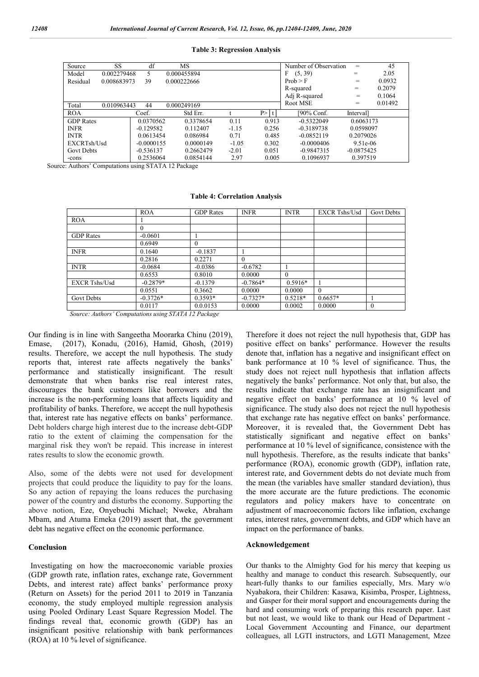#### **Table 3: Regression Analysis**

| Source<br>SS         | df                              | MS          |             |              | Number of Observation | $=$          | 45      |
|----------------------|---------------------------------|-------------|-------------|--------------|-----------------------|--------------|---------|
| Model                | 0.002279468<br>0.000455894<br>5 |             |             | (5, 39)<br>F | =                     | 2.05         |         |
| Residual             | 39<br>0.008683973               |             | 0.000222666 |              | Prob > F              | $=$          | 0.0932  |
|                      |                                 |             |             |              |                       | =            | 0.2079  |
|                      |                                 |             |             |              | Adj R-squared         | =            | 0.1064  |
| Total<br>0.010963443 | 44                              | 0.000249169 |             |              | Root MSE              | =            | 0.01492 |
| <b>ROA</b>           | Coef.                           | Std Err.    |             | P > 1        | [90% Conf.            | Interval     |         |
| <b>GDP</b> Rates     | 0.0370562                       | 0.3378654   | 0.11        | 0.913        | $-0.5322049$          | 0.6063173    |         |
| <b>INFR</b>          | $-0.129582$                     | 0.112407    | $-1.15$     | 0.256        | $-0.3189738$          | 0.0598097    |         |
| <b>INTR</b>          | 0.0613454                       | 0.086984    | 0.71        | 0.485        | $-0.0852119$          | 0.2079026    |         |
| EXCRTsh/Usd          | $-0.0000155$                    | 0.0000149   | $-1.05$     | 0.302        | $-0.0000406$          | $9.51e-06$   |         |
| <b>Govt Debts</b>    | $-0.536137$                     | 0.2662479   | $-2.01$     | 0.051        | $-0.9847315$          | $-0.0875425$ |         |
| -cons                | 0.2536064                       | 0.0854144   | 2.97        | 0.005        | 0.1096937             | 0.397519     |         |

Source: Authors' Computations using STATA 12 Package

#### **Table 4: Correlation Analysis**

|                      | <b>ROA</b> | <b>GDP</b> Rates | <b>INFR</b> | <b>INTR</b> | <b>EXCR Tshs/Usd</b> | <b>Govt Debts</b> |
|----------------------|------------|------------------|-------------|-------------|----------------------|-------------------|
| <b>ROA</b>           |            |                  |             |             |                      |                   |
|                      | $\Omega$   |                  |             |             |                      |                   |
| <b>GDP</b> Rates     | $-0.0601$  |                  |             |             |                      |                   |
|                      | 0.6949     | $\theta$         |             |             |                      |                   |
| <b>INFR</b>          | 0.1640     | $-0.1837$        |             |             |                      |                   |
|                      | 0.2816     | 0.2271           | $\theta$    |             |                      |                   |
| <b>INTR</b>          | $-0.0684$  | $-0.0386$        | $-0.6782$   |             |                      |                   |
|                      | 0.6553     | 0.8010           | 0.0000      | $\Omega$    |                      |                   |
| <b>EXCR Tshs/Usd</b> | $-0.2879*$ | $-0.1379$        | $-0.7864*$  | $0.5916*$   |                      |                   |
|                      | 0.0551     | 0.3662           | 0.0000      | 0.0000      | $\theta$             |                   |
| <b>Govt Debts</b>    | $-0.3726*$ | $0.3593*$        | $-0.7327*$  | $0.5218*$   | $0.6657*$            |                   |
|                      | 0.0117     | 0.0.0153         | 0.0000      | 0.0002      | 0.0000               | $\Omega$          |

*Source: Authors' Computations using STATA 12 Package*

Our finding is in line with Sangeetha Moorarka Chinu (2019), Emase, (2017), Konadu, (2016), Hamid, Ghosh, (2019) results. Therefore, we accept the null hypothesis. The study reports that, interest rate affects negatively the banks' performance and statistically insignificant. The result demonstrate that when banks rise real interest rates, discourages the bank customers like borrowers and the increase is the non-performing loans that affects liquidity and profitability of banks. Therefore, we accept the null hypothesis that, interest rate has negative effects on banks' performance. Debt holders charge high interest due to the increase debt-GDP ratio to the extent of claiming the compensation for the marginal risk they won't be repaid. This increase in interest rates results to slow the economic growth.

Also, some of the debts were not used for development projects that could produce the liquidity to pay for the loans. So any action of repaying the loans reduces the purchasing power of the country and disturbs the economy. Supporting the above notion, Eze, Onyebuchi Michael; Nweke, Abraham Mbam, and Atuma Emeka (2019) assert that, the government debt has negative effect on the economic performance.

#### **Conclusion**

Investigating on how the macroeconomic variable proxies (GDP growth rate, inflation rates, exchange rate, Government Debts, and interest rate) affect banks' performance proxy (Return on Assets) for the period 2011 to 2019 in Tanzania economy, the study employed multiple regression analysis using Pooled Ordinary Least Square Regression Model. The findings reveal that, economic growth (GDP) has an insignificant positive relationship with bank performances (ROA) at 10 % level of significance.

Therefore it does not reject the null hypothesis that, GDP has positive effect on banks' performance. However the results denote that, inflation has a negative and insignificant effect on bank performance at 10 % level of significance. Thus, the study does not reject null hypothesis that inflation affects negatively the banks' performance. Not only that, but also, the results indicate that exchange rate has an insignificant and negative effect on banks' performance at 10 % level of significance. The study also does not reject the null hypothesis that exchange rate has negative effect on banks' performance. Moreover, it is revealed that, the Government Debt has statistically significant and negative effect on banks' performance at 10 % level of significance, consistence with the null hypothesis. Therefore, as the results indicate that banks' performance (ROA), economic growth (GDP), inflation rate, interest rate, and Government debts do not deviate much from the mean (the variables have smaller standard deviation), thus the more accurate are the future predictions. The economic regulators and policy makers have to concentrate on adjustment of macroeconomic factors like inflation, exchange rates, interest rates, government debts, and GDP which have an impact on the performance of banks.

#### **Acknowledgement**

Our thanks to the Almighty God for his mercy that keeping us healthy and manage to conduct this research. Subsequently, our heart-fully thanks to our families especially, Mrs. Mary w/o Nyabakora, their Children: Kasawa, Kisimba, Prosper, Lightness, and Gasper for their moral support and encouragements during the hard and consuming work of preparing this research paper. Last but not least, we would like to thank our Head of Department - Local Government Accounting and Finance, our department colleagues, all LGTI instructors, and LGTI Management, Mzee